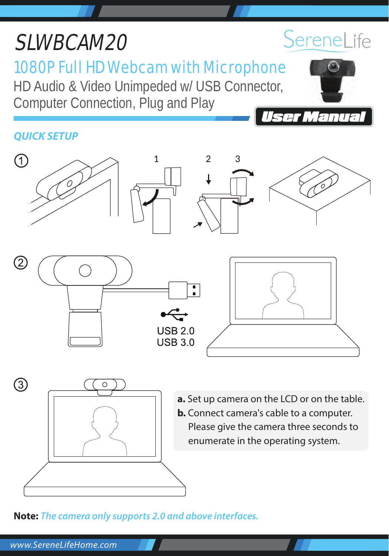# SLWBCAM20

# 1080P Full HD Webcam with Microphone

HD Audio & Video Unimpeded w/ USB Connector, Computer Connection, Plug and Play

# *QUICK SETUP*



**Note:** *The camera only supports 2.0 and above interfaces.*



Manua

*FF a*